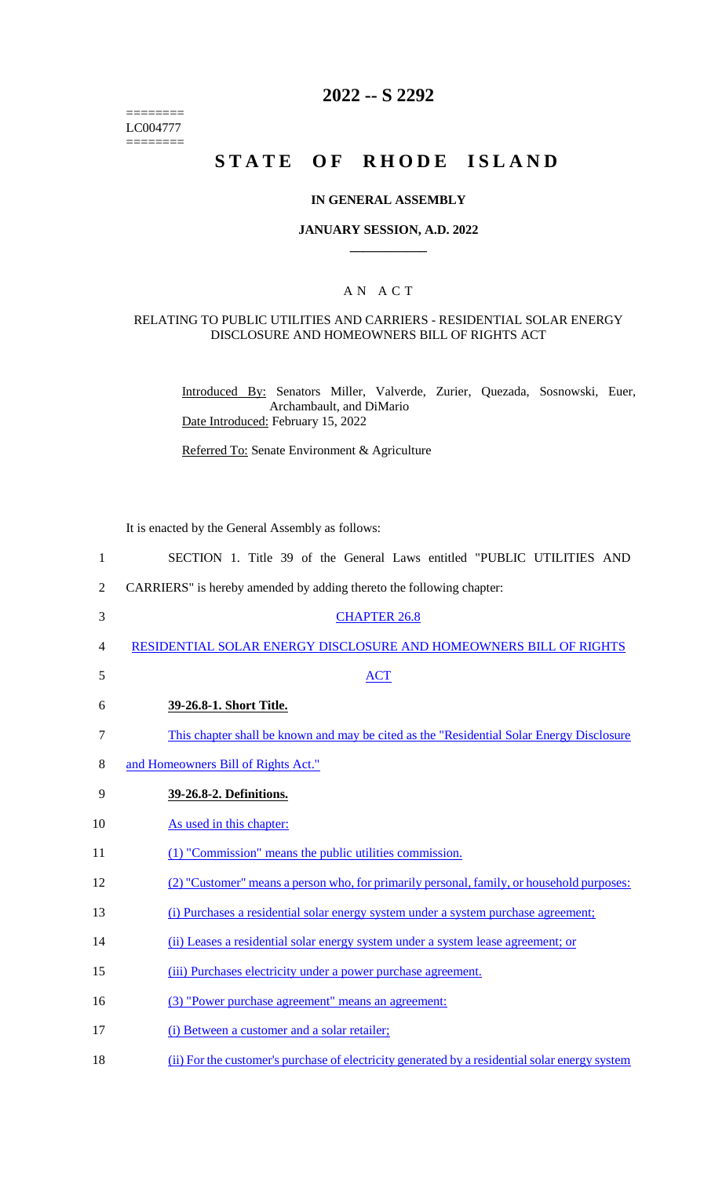======== LC004777  $=$ 

# **2022 -- S 2292**

# **STATE OF RHODE ISLAND**

### **IN GENERAL ASSEMBLY**

### **JANUARY SESSION, A.D. 2022 \_\_\_\_\_\_\_\_\_\_\_\_**

### A N A C T

### RELATING TO PUBLIC UTILITIES AND CARRIERS - RESIDENTIAL SOLAR ENERGY DISCLOSURE AND HOMEOWNERS BILL OF RIGHTS ACT

Introduced By: Senators Miller, Valverde, Zurier, Quezada, Sosnowski, Euer, Archambault, and DiMario Date Introduced: February 15, 2022

Referred To: Senate Environment & Agriculture

It is enacted by the General Assembly as follows:

| $\mathbf{1}$ | SECTION 1. Title 39 of the General Laws entitled "PUBLIC UTILITIES AND                         |
|--------------|------------------------------------------------------------------------------------------------|
| 2            | CARRIERS" is hereby amended by adding thereto the following chapter:                           |
| 3            | <b>CHAPTER 26.8</b>                                                                            |
| 4            | RESIDENTIAL SOLAR ENERGY DISCLOSURE AND HOMEOWNERS BILL OF RIGHTS                              |
| 5            | <b>ACT</b>                                                                                     |
| 6            | 39-26.8-1. Short Title.                                                                        |
| 7            | This chapter shall be known and may be cited as the "Residential Solar Energy Disclosure"      |
| 8            | and Homeowners Bill of Rights Act."                                                            |
| 9            | 39-26.8-2. Definitions.                                                                        |
| 10           | As used in this chapter:                                                                       |
| 11           | (1) "Commission" means the public utilities commission.                                        |
| 12           | (2) "Customer" means a person who, for primarily personal, family, or household purposes:      |
| 13           | (i) Purchases a residential solar energy system under a system purchase agreement;             |
| 14           | (ii) Leases a residential solar energy system under a system lease agreement; or               |
| 15           | (iii) Purchases electricity under a power purchase agreement.                                  |
| 16           | (3) "Power purchase agreement" means an agreement:                                             |
| 17           | (i) Between a customer and a solar retailer;                                                   |
| 18           | (ii) For the customer's purchase of electricity generated by a residential solar energy system |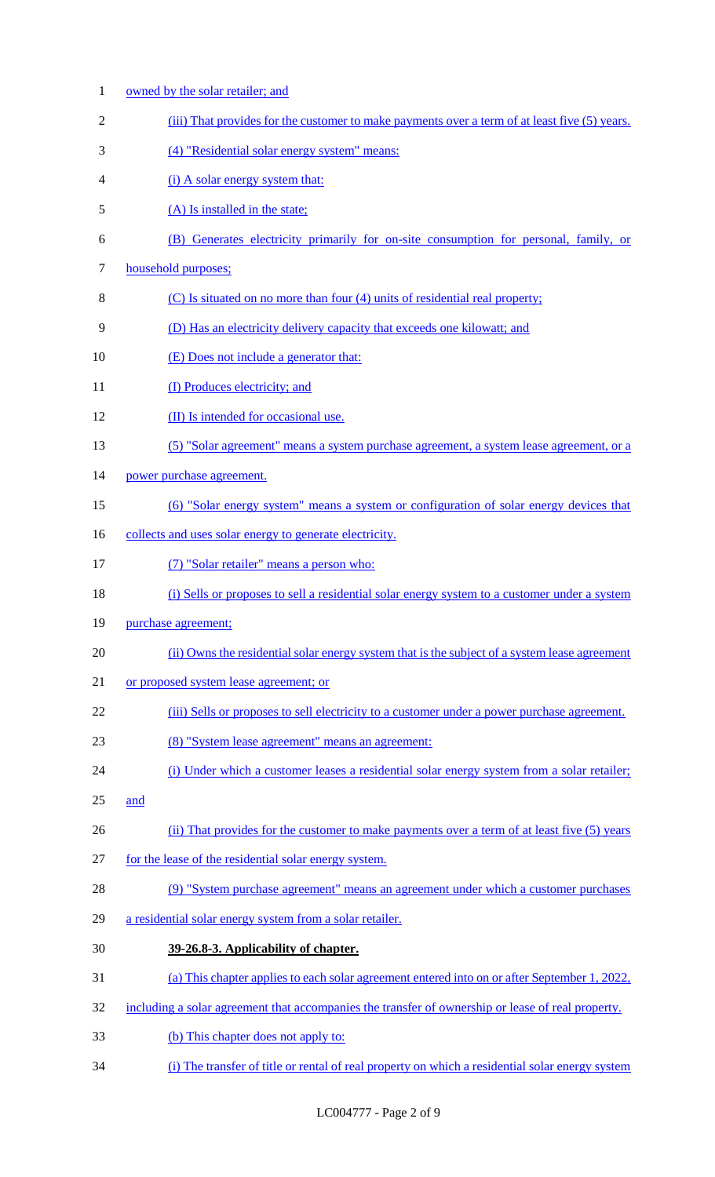| $\mathbf{1}$   | owned by the solar retailer; and                                                                  |
|----------------|---------------------------------------------------------------------------------------------------|
| $\overline{2}$ | (iii) That provides for the customer to make payments over a term of at least five (5) years.     |
| 3              | (4) "Residential solar energy system" means:                                                      |
| 4              | (i) A solar energy system that:                                                                   |
| 5              | (A) Is installed in the state;                                                                    |
| 6              | (B) Generates electricity primarily for on-site consumption for personal, family, or              |
| 7              | household purposes;                                                                               |
| 8              | (C) Is situated on no more than four (4) units of residential real property;                      |
| 9              | (D) Has an electricity delivery capacity that exceeds one kilowatt; and                           |
| 10             | (E) Does not include a generator that:                                                            |
| 11             | (I) Produces electricity; and                                                                     |
| 12             | (II) Is intended for occasional use.                                                              |
| 13             | (5) "Solar agreement" means a system purchase agreement, a system lease agreement, or a           |
| 14             | power purchase agreement.                                                                         |
| 15             | (6) "Solar energy system" means a system or configuration of solar energy devices that            |
| 16             | collects and uses solar energy to generate electricity.                                           |
| 17             | (7) "Solar retailer" means a person who:                                                          |
| 18             | (i) Sells or proposes to sell a residential solar energy system to a customer under a system      |
| 19             | purchase agreement;                                                                               |
| 20             | (ii) Owns the residential solar energy system that is the subject of a system lease agreement     |
| 21             | or proposed system lease agreement; or                                                            |
| 22             | (iii) Sells or proposes to sell electricity to a customer under a power purchase agreement.       |
| 23             | (8) "System lease agreement" means an agreement:                                                  |
| 24             | (i) Under which a customer leases a residential solar energy system from a solar retailer;        |
| 25             | and                                                                                               |
| 26             | (ii) That provides for the customer to make payments over a term of at least five (5) years       |
| 27             | for the lease of the residential solar energy system.                                             |
| 28             | (9) "System purchase agreement" means an agreement under which a customer purchases               |
| 29             | a residential solar energy system from a solar retailer.                                          |
| 30             | 39-26.8-3. Applicability of chapter.                                                              |
| 31             | (a) This chapter applies to each solar agreement entered into on or after September 1, 2022,      |
| 32             | including a solar agreement that accompanies the transfer of ownership or lease of real property. |
| 33             | (b) This chapter does not apply to:                                                               |
| 34             | (i) The transfer of title or rental of real property on which a residential solar energy system   |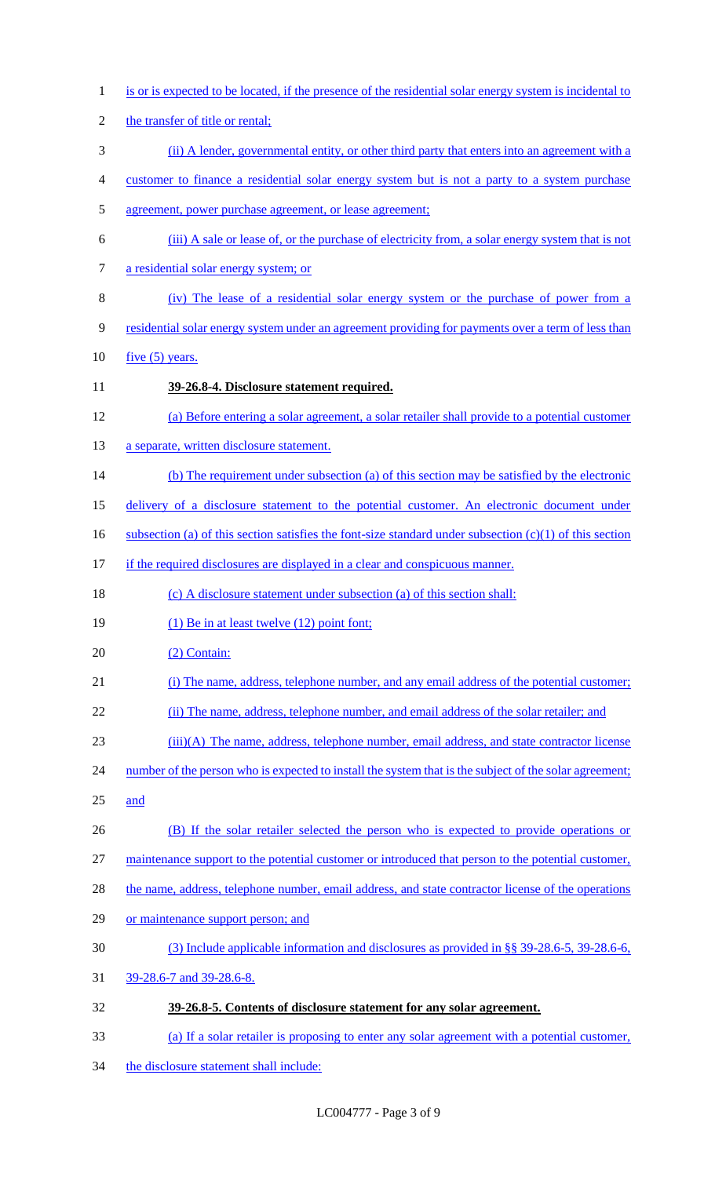- is or is expected to be located, if the presence of the residential solar energy system is incidental to 2 the transfer of title or rental; (ii) A lender, governmental entity, or other third party that enters into an agreement with a customer to finance a residential solar energy system but is not a party to a system purchase agreement, power purchase agreement, or lease agreement; (iii) A sale or lease of, or the purchase of electricity from, a solar energy system that is not a residential solar energy system; or (iv) The lease of a residential solar energy system or the purchase of power from a residential solar energy system under an agreement providing for payments over a term of less than 10  $five (5) years.$  **39-26.8-4. Disclosure statement required.**  (a) Before entering a solar agreement, a solar retailer shall provide to a potential customer 13 a separate, written disclosure statement. 14 (b) The requirement under subsection (a) of this section may be satisfied by the electronic delivery of a disclosure statement to the potential customer. An electronic document under 16 subsection (a) of this section satisfies the font-size standard under subsection  $(c)(1)$  of this section 17 if the required disclosures are displayed in a clear and conspicuous manner. (c) A disclosure statement under subsection (a) of this section shall: 19 (1) Be in at least twelve (12) point font; (2) Contain: (i) The name, address, telephone number, and any email address of the potential customer; 22 (ii) The name, address, telephone number, and email address of the solar retailer; and (iii)(A) The name, address, telephone number, email address, and state contractor license 24 number of the person who is expected to install the system that is the subject of the solar agreement; and (B) If the solar retailer selected the person who is expected to provide operations or maintenance support to the potential customer or introduced that person to the potential customer, the name, address, telephone number, email address, and state contractor license of the operations 29 or maintenance support person; and (3) Include applicable information and disclosures as provided in §§ 39-28.6-5, 39-28.6-6, 39-28.6-7 and 39-28.6-8. **39-26.8-5. Contents of disclosure statement for any solar agreement.**  (a) If a solar retailer is proposing to enter any solar agreement with a potential customer,
- 34 the disclosure statement shall include: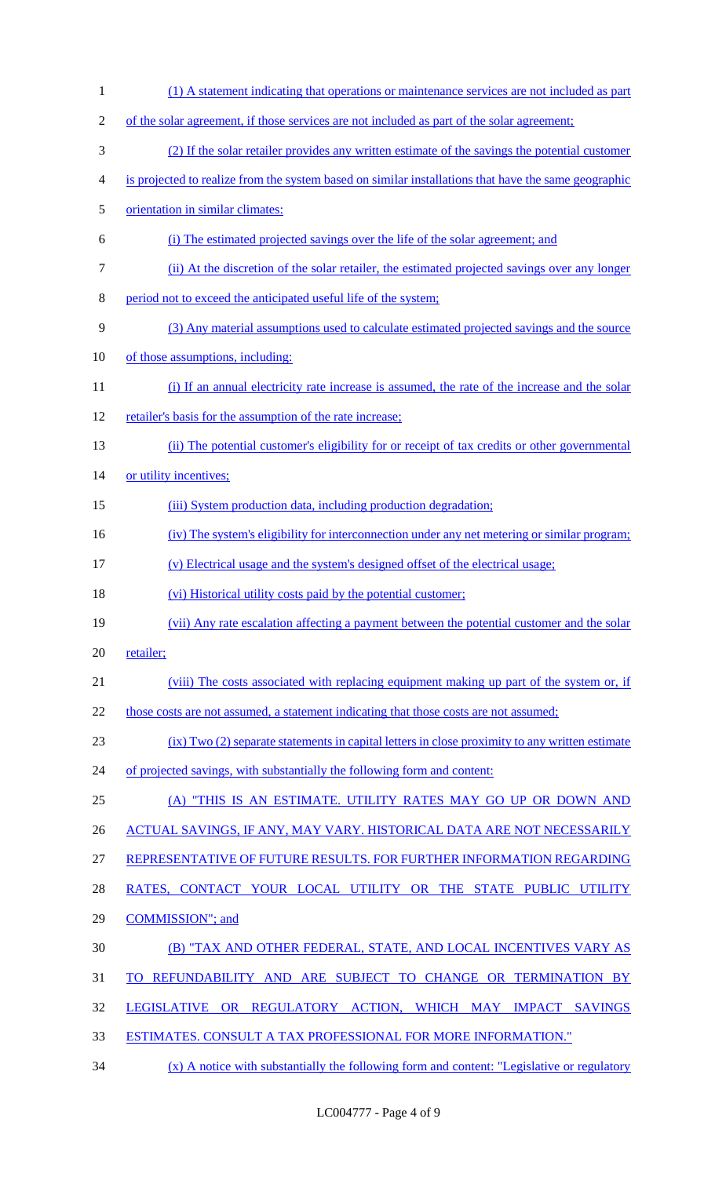(1) A statement indicating that operations or maintenance services are not included as part of the solar agreement, if those services are not included as part of the solar agreement; (2) If the solar retailer provides any written estimate of the savings the potential customer is projected to realize from the system based on similar installations that have the same geographic orientation in similar climates: (i) The estimated projected savings over the life of the solar agreement; and (ii) At the discretion of the solar retailer, the estimated projected savings over any longer period not to exceed the anticipated useful life of the system; (3) Any material assumptions used to calculate estimated projected savings and the source 10 of those assumptions, including: (i) If an annual electricity rate increase is assumed, the rate of the increase and the solar 12 retailer's basis for the assumption of the rate increase; (ii) The potential customer's eligibility for or receipt of tax credits or other governmental 14 or utility incentives; 15 (iii) System production data, including production degradation; (iv) The system's eligibility for interconnection under any net metering or similar program; (v) Electrical usage and the system's designed offset of the electrical usage; (vi) Historical utility costs paid by the potential customer; (vii) Any rate escalation affecting a payment between the potential customer and the solar 20 retailer; (viii) The costs associated with replacing equipment making up part of the system or, if 22 those costs are not assumed, a statement indicating that those costs are not assumed; (ix) Two (2) separate statements in capital letters in close proximity to any written estimate 24 of projected savings, with substantially the following form and content: (A) "THIS IS AN ESTIMATE. UTILITY RATES MAY GO UP OR DOWN AND 26 ACTUAL SAVINGS, IF ANY, MAY VARY. HISTORICAL DATA ARE NOT NECESSARILY REPRESENTATIVE OF FUTURE RESULTS. FOR FURTHER INFORMATION REGARDING RATES, CONTACT YOUR LOCAL UTILITY OR THE STATE PUBLIC UTILITY COMMISSION"; and (B) "TAX AND OTHER FEDERAL, STATE, AND LOCAL INCENTIVES VARY AS TO REFUNDABILITY AND ARE SUBJECT TO CHANGE OR TERMINATION BY LEGISLATIVE OR REGULATORY ACTION, WHICH MAY IMPACT SAVINGS ESTIMATES. CONSULT A TAX PROFESSIONAL FOR MORE INFORMATION." 34 (x) A notice with substantially the following form and content: "Legislative or regulatory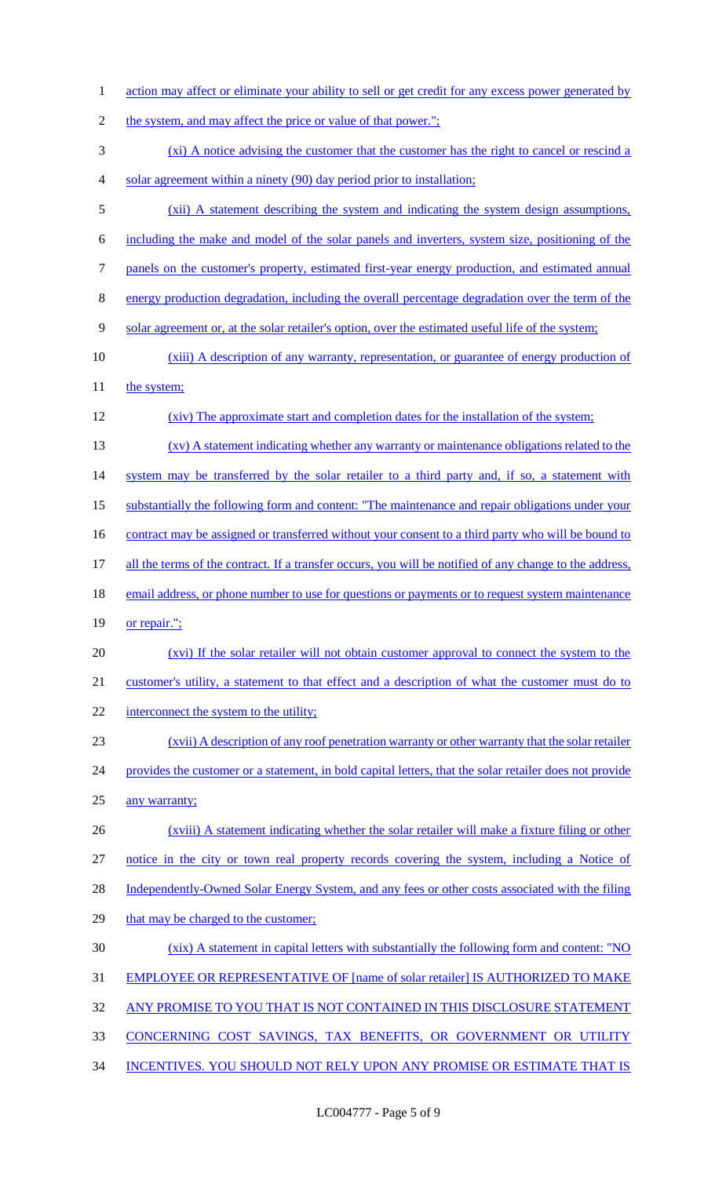- 1 action may affect or eliminate your ability to sell or get credit for any excess power generated by
- 2 the system, and may affect the price or value of that power.";
- 3 (xi) A notice advising the customer that the customer has the right to cancel or rescind a 4 solar agreement within a ninety (90) day period prior to installation;
- 5 (xii) A statement describing the system and indicating the system design assumptions,
- 6 including the make and model of the solar panels and inverters, system size, positioning of the
- 7 panels on the customer's property, estimated first-year energy production, and estimated annual
- 8 energy production degradation, including the overall percentage degradation over the term of the
- 9 solar agreement or, at the solar retailer's option, over the estimated useful life of the system;
- 10 (xiii) A description of any warranty, representation, or guarantee of energy production of
- 11 the system;
- 12 (xiv) The approximate start and completion dates for the installation of the system;
- 13 (xv) A statement indicating whether any warranty or maintenance obligations related to the
- 14 system may be transferred by the solar retailer to a third party and, if so, a statement with
- 15 substantially the following form and content: "The maintenance and repair obligations under your
- 16 contract may be assigned or transferred without your consent to a third party who will be bound to
- 17 all the terms of the contract. If a transfer occurs, you will be notified of any change to the address,
- 18 email address, or phone number to use for questions or payments or to request system maintenance
- 19 or repair.";
- 20 (xvi) If the solar retailer will not obtain customer approval to connect the system to the
- 21 customer's utility, a statement to that effect and a description of what the customer must do to
- 22 interconnect the system to the utility;
- 23 (xvii) A description of any roof penetration warranty or other warranty that the solar retailer 24 provides the customer or a statement, in bold capital letters, that the solar retailer does not provide
- 25 any warranty;
- 26 (xviii) A statement indicating whether the solar retailer will make a fixture filing or other 27 notice in the city or town real property records covering the system, including a Notice of 28 Independently-Owned Solar Energy System, and any fees or other costs associated with the filing 29 that may be charged to the customer;
- 30 (xix) A statement in capital letters with substantially the following form and content: "NO
- 31 EMPLOYEE OR REPRESENTATIVE OF [name of solar retailer] IS AUTHORIZED TO MAKE
- 32 ANY PROMISE TO YOU THAT IS NOT CONTAINED IN THIS DISCLOSURE STATEMENT
- 33 CONCERNING COST SAVINGS, TAX BENEFITS, OR GOVERNMENT OR UTILITY
- 34 INCENTIVES. YOU SHOULD NOT RELY UPON ANY PROMISE OR ESTIMATE THAT IS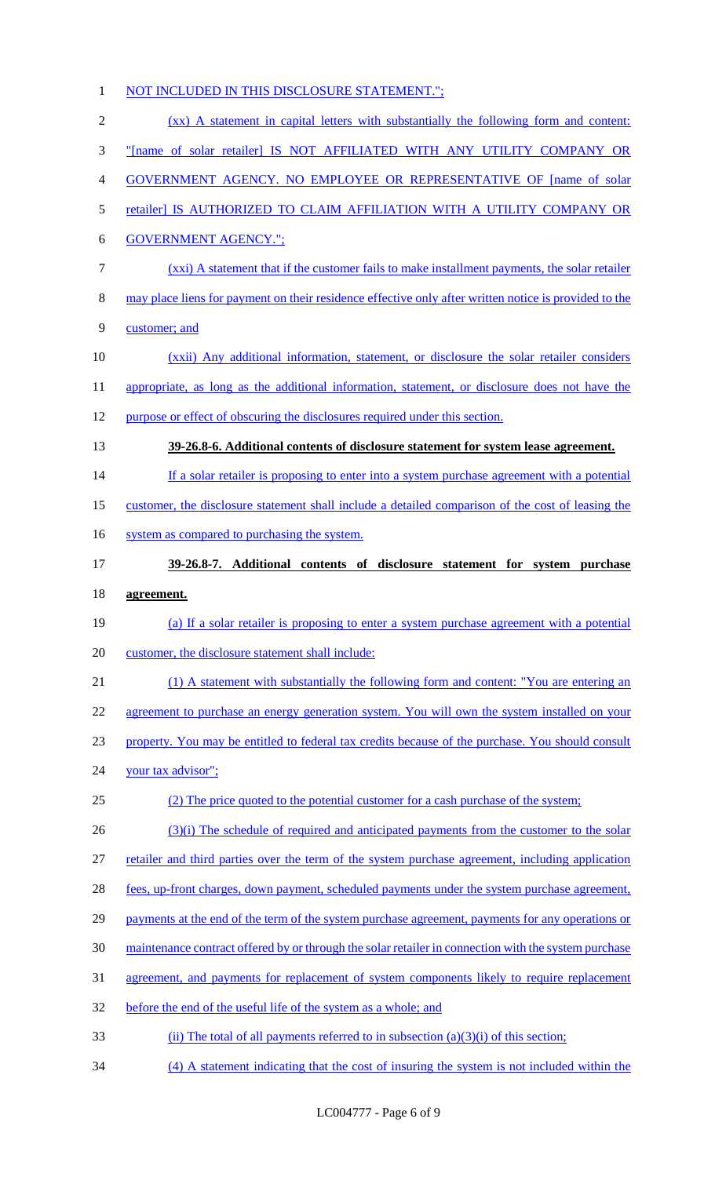# NOT INCLUDED IN THIS DISCLOSURE STATEMENT."; (xx) A statement in capital letters with substantially the following form and content: "[name of solar retailer] IS NOT AFFILIATED WITH ANY UTILITY COMPANY OR GOVERNMENT AGENCY. NO EMPLOYEE OR REPRESENTATIVE OF [name of solar retailer] IS AUTHORIZED TO CLAIM AFFILIATION WITH A UTILITY COMPANY OR GOVERNMENT AGENCY."; (xxi) A statement that if the customer fails to make installment payments, the solar retailer may place liens for payment on their residence effective only after written notice is provided to the customer; and (xxii) Any additional information, statement, or disclosure the solar retailer considers 11 appropriate, as long as the additional information, statement, or disclosure does not have the purpose or effect of obscuring the disclosures required under this section. **39-26.8-6. Additional contents of disclosure statement for system lease agreement.** 14 If a solar retailer is proposing to enter into a system purchase agreement with a potential customer, the disclosure statement shall include a detailed comparison of the cost of leasing the 16 system as compared to purchasing the system. **39-26.8-7. Additional contents of disclosure statement for system purchase agreement.** (a) If a solar retailer is proposing to enter a system purchase agreement with a potential customer, the disclosure statement shall include: 21 (1) A statement with substantially the following form and content: "You are entering an agreement to purchase an energy generation system. You will own the system installed on your property. You may be entitled to federal tax credits because of the purchase. You should consult your tax advisor"; (2) The price quoted to the potential customer for a cash purchase of the system; 26 (3)(i) The schedule of required and anticipated payments from the customer to the solar retailer and third parties over the term of the system purchase agreement, including application 28 fees, up-front charges, down payment, scheduled payments under the system purchase agreement, 29 payments at the end of the term of the system purchase agreement, payments for any operations or 30 maintenance contract offered by or through the solar retailer in connection with the system purchase 31 agreement, and payments for replacement of system components likely to require replacement before the end of the useful life of the system as a whole; and 33 (ii) The total of all payments referred to in subsection (a)(3)(i) of this section; (4) A statement indicating that the cost of insuring the system is not included within the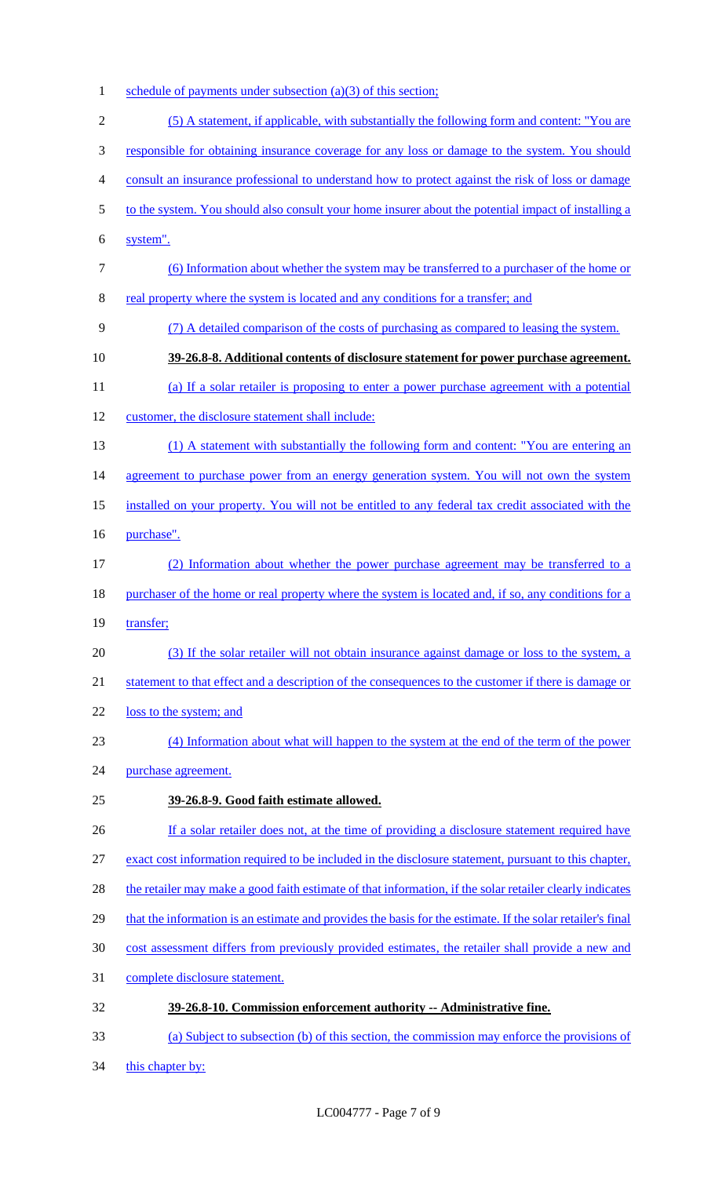1 schedule of payments under subsection (a)(3) of this section;

| $\overline{2}$ | (5) A statement, if applicable, with substantially the following form and content: "You are                |
|----------------|------------------------------------------------------------------------------------------------------------|
| 3              | responsible for obtaining insurance coverage for any loss or damage to the system. You should              |
| 4              | consult an insurance professional to understand how to protect against the risk of loss or damage          |
| 5              | to the system. You should also consult your home insurer about the potential impact of installing a        |
| 6              | system".                                                                                                   |
| 7              | (6) Information about whether the system may be transferred to a purchaser of the home or                  |
| 8              | real property where the system is located and any conditions for a transfer; and                           |
| 9              | (7) A detailed comparison of the costs of purchasing as compared to leasing the system.                    |
| 10             | 39-26.8-8. Additional contents of disclosure statement for power purchase agreement.                       |
| 11             | (a) If a solar retailer is proposing to enter a power purchase agreement with a potential                  |
| 12             | customer, the disclosure statement shall include:                                                          |
| 13             | (1) A statement with substantially the following form and content: "You are entering an                    |
| 14             | agreement to purchase power from an energy generation system. You will not own the system                  |
| 15             | installed on your property. You will not be entitled to any federal tax credit associated with the         |
| 16             | purchase".                                                                                                 |
| 17             | (2) Information about whether the power purchase agreement may be transferred to a                         |
| 18             | purchaser of the home or real property where the system is located and, if so, any conditions for a        |
| 19             | transfer;                                                                                                  |
| 20             | (3) If the solar retailer will not obtain insurance against damage or loss to the system, a                |
| 21             | statement to that effect and a description of the consequences to the customer if there is damage or       |
| 22             | loss to the system; and                                                                                    |
| 23             | (4) Information about what will happen to the system at the end of the term of the power                   |
| 24             | purchase agreement.                                                                                        |
| 25             | 39-26.8-9. Good faith estimate allowed.                                                                    |
| 26             | If a solar retailer does not, at the time of providing a disclosure statement required have                |
| 27             | exact cost information required to be included in the disclosure statement, pursuant to this chapter,      |
| 28             | the retailer may make a good faith estimate of that information, if the solar retailer clearly indicates   |
| 29             | that the information is an estimate and provides the basis for the estimate. If the solar retailer's final |
| 30             | cost assessment differs from previously provided estimates, the retailer shall provide a new and           |
| 31             | complete disclosure statement.                                                                             |
| 32             | 39-26.8-10. Commission enforcement authority -- Administrative fine.                                       |
| 33             | (a) Subject to subsection (b) of this section, the commission may enforce the provisions of                |

34 this chapter by: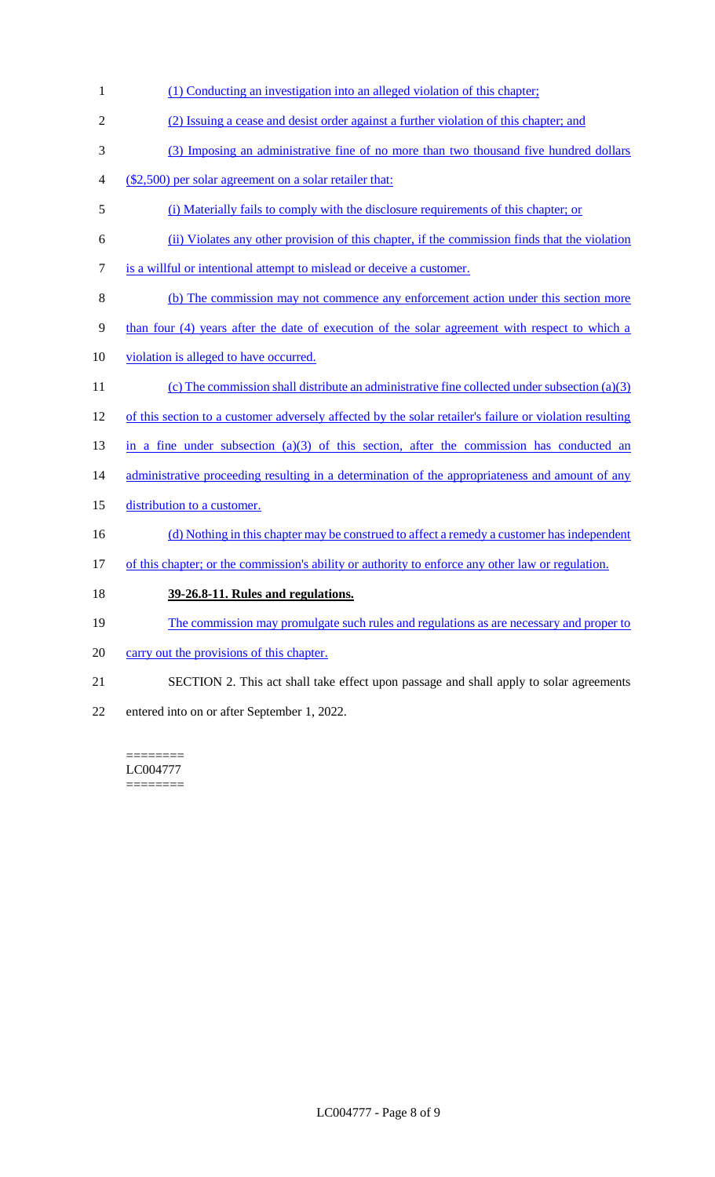- 1 (1) Conducting an investigation into an alleged violation of this chapter; 2 (2) Issuing a cease and desist order against a further violation of this chapter; and 3 (3) Imposing an administrative fine of no more than two thousand five hundred dollars 4 (\$2,500) per solar agreement on a solar retailer that: 5 (i) Materially fails to comply with the disclosure requirements of this chapter; or 6 (ii) Violates any other provision of this chapter, if the commission finds that the violation 7 is a willful or intentional attempt to mislead or deceive a customer. 8 (b) The commission may not commence any enforcement action under this section more 9 than four (4) years after the date of execution of the solar agreement with respect to which a 10 violation is alleged to have occurred. 11 (c) The commission shall distribute an administrative fine collected under subsection (a)(3) 12 of this section to a customer adversely affected by the solar retailer's failure or violation resulting 13 in a fine under subsection (a)(3) of this section, after the commission has conducted an 14 administrative proceeding resulting in a determination of the appropriateness and amount of any 15 distribution to a customer. 16 (d) Nothing in this chapter may be construed to affect a remedy a customer has independent 17 of this chapter; or the commission's ability or authority to enforce any other law or regulation. 18 **39-26.8-11. Rules and regulations.** 19 The commission may promulgate such rules and regulations as are necessary and proper to 20 carry out the provisions of this chapter.
- 21 SECTION 2. This act shall take effect upon passage and shall apply to solar agreements
- 22 entered into on or after September 1, 2022.

======== LC004777 ========